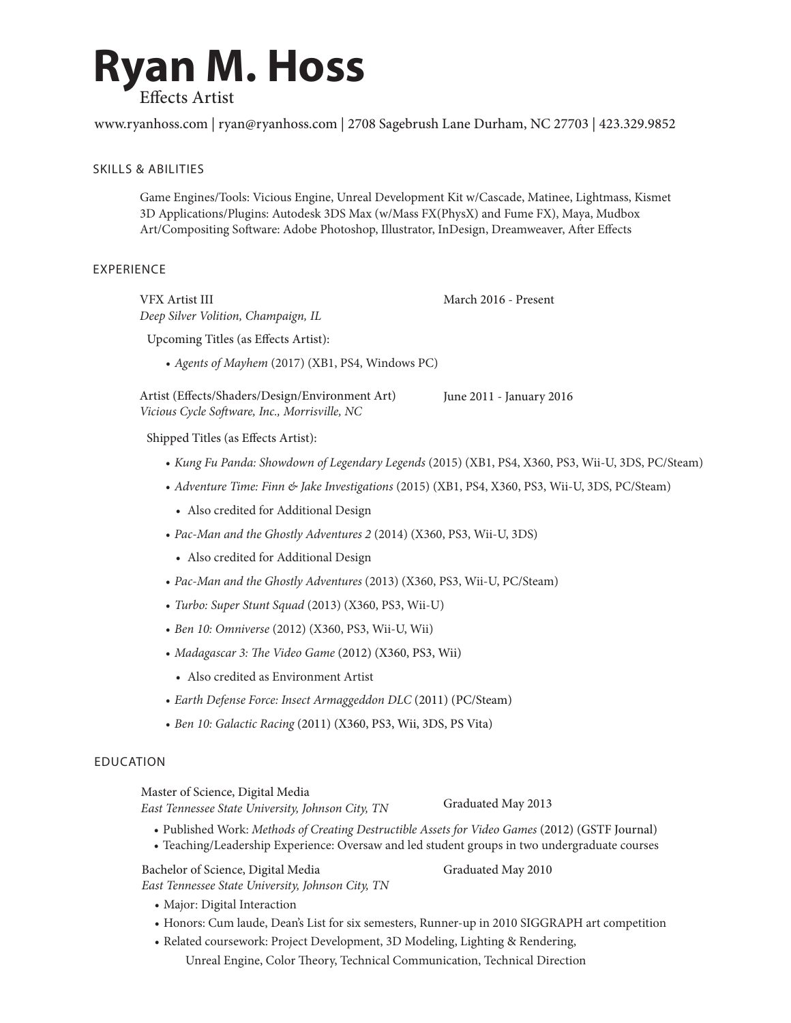

www.ryanhoss.com | ryan@ryanhoss.com | 2708 Sagebrush Lane Durham, NC 27703 | 423.329.9852

## SKILLS & ABILITIES

Game Engines/Tools: Vicious Engine, Unreal Development Kit w/Cascade, Matinee, Lightmass, Kismet 3D Applications/Plugins: Autodesk 3DS Max (w/Mass FX(PhysX) and Fume FX), Maya, Mudbox Art/Compositing Software: Adobe Photoshop, Illustrator, InDesign, Dreamweaver, After Effects

## EXPERIENCE

VFX Artist III *Deep Silver Volition, Champaign, IL*

Upcoming Titles (as Effects Artist):

*• Agents of Mayhem* (2017) (XB1, PS4, Windows PC)

June 2011 - January 2016 Artist (Effects/Shaders/Design/Environment Art) *Vicious Cycle Software, Inc., Morrisville, NC*

Shipped Titles (as Effects Artist):

*• Kung Fu Panda: Showdown of Legendary Legends* (2015) (XB1, PS4, X360, PS3, Wii-U, 3DS, PC/Steam)

March 2016 - Present

- *• Adventure Time: Finn & Jake Investigations* (2015) (XB1, PS4, X360, PS3, Wii-U, 3DS, PC/Steam)
	- Also credited for Additional Design
- *• Pac-Man and the Ghostly Adventures 2* (2014) (X360, PS3, Wii-U, 3DS)
	- Also credited for Additional Design
- *• Pac-Man and the Ghostly Adventures* (2013) (X360, PS3, Wii-U, PC/Steam)
- *• Turbo: Super Stunt Squad* (2013) (X360, PS3, Wii-U)
- *• Ben 10: Omniverse* (2012) (X360, PS3, Wii-U, Wii)
- *• Madagascar 3: The Video Game* (2012) (X360, PS3, Wii)
	- • Also credited as Environment Artist

*East Tennessee State University, Johnson City, TN*

*East Tennessee State University, Johnson City, TN*

- *• Earth Defense Force: Insect Armaggeddon DLC* (2011) (PC/Steam)
- *• Ben 10: Galactic Racing* (2011) (X360, PS3, Wii, 3DS, PS Vita)

## EDUCATION

Master of Science, Digital Media

Graduated May 2013

- • Published Work: *Methods of Creating Destructible Assets for Video Games* (2012) (GSTF Journal)
- • Teaching/Leadership Experience: Oversaw and led student groups in two undergraduate courses

Bachelor of Science, Digital Media

Graduated May 2010

- Major: Digital Interaction
- • Honors: Cum laude, Dean's List for six semesters, Runner-up in 2010 SIGGRAPH art competition
- • Related coursework: Project Development, 3D Modeling, Lighting & Rendering, Unreal Engine, Color Theory, Technical Communication, Technical Direction